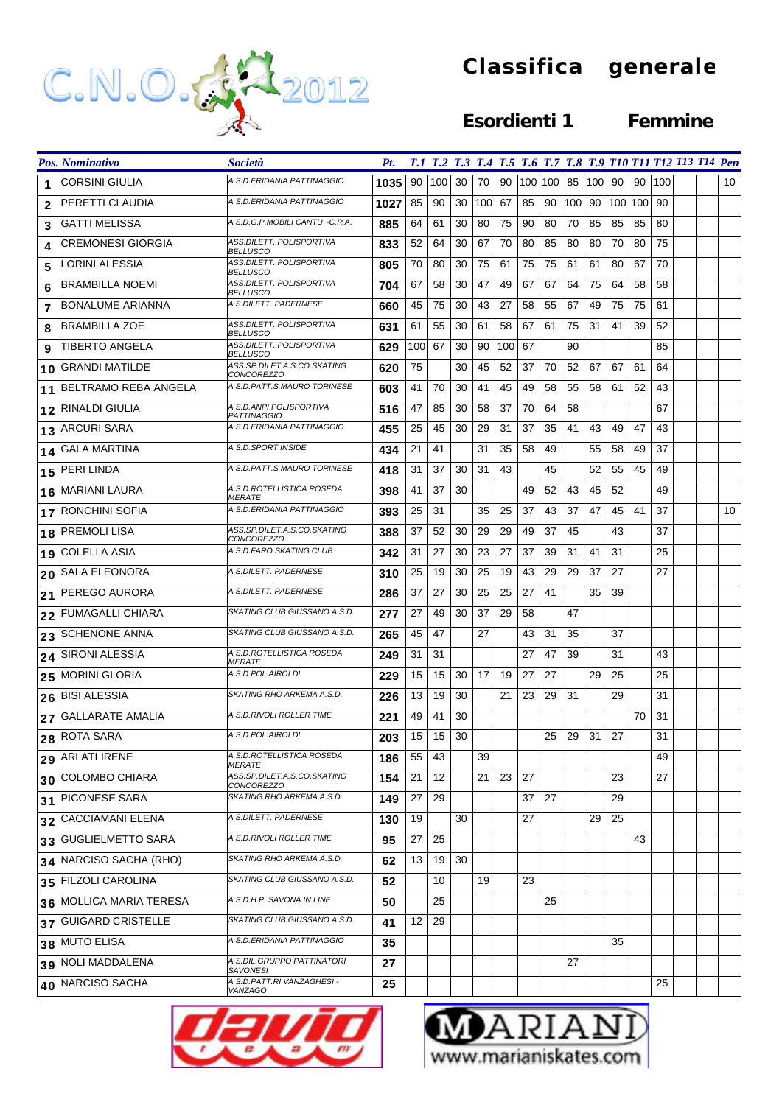

## **Classifica generale**

## **Esordienti 1 Femmine**

|    | Pos. Nominativo             | <i>Società</i>                                   | Pt.  |     |     |    |     |     |    |            |     |     |         |    |     | T.1 T.2 T.3 T.4 T.5 T.6 T.7 T.8 T.9 T10 T11 T12 T13 T14 Pen |    |
|----|-----------------------------|--------------------------------------------------|------|-----|-----|----|-----|-----|----|------------|-----|-----|---------|----|-----|-------------------------------------------------------------|----|
| 1  | CORSINI GIULIA              | A.S.D.ERIDANIA PATTINAGGIO                       | 1035 | 90  | 100 | 30 | 70  | 90  |    | 100 100 85 |     | 100 | 90      | 90 | 100 |                                                             | 10 |
| 2  | PERETTI CLAUDIA             | A.S.D.ERIDANIA PATTINAGGIO                       | 1027 | 85  | 90  | 30 | 100 | 67  | 85 | 90         | 100 | 90  | 100 100 |    | 90  |                                                             |    |
| 3  | GATTI MELISSA               | A.S.D.G.P.MOBILI CANTU' -C.R.A.                  | 885  | 64  | 61  | 30 | 80  | 75  | 90 | 80         | 70  | 85  | 85      | 85 | 80  |                                                             |    |
| 4  | CREMONESI GIORGIA           | ASS.DILETT. POLISPORTIVA<br><b>BELLUSCO</b>      | 833  | 52  | 64  | 30 | 67  | 70  | 80 | 85         | 80  | 80  | 70      | 80 | 75  |                                                             |    |
| 5  | LORINI ALESSIA              | ASS.DILETT. POLISPORTIVA<br><b>BELLUSCO</b>      | 805  | 70  | 80  | 30 | 75  | 61  | 75 | 75         | 61  | 61  | 80      | 67 | 70  |                                                             |    |
| 6  | <b>BRAMBILLA NOEMI</b>      | ASS.DILETT, POLISPORTIVA<br><b>BELLUSCO</b>      | 704  | 67  | 58  | 30 | 47  | 49  | 67 | 67         | 64  | 75  | 64      | 58 | 58  |                                                             |    |
| 7  | <b>BONALUME ARIANNA</b>     | A.S.DILETT. PADERNESE                            | 660  | 45  | 75  | 30 | 43  | 27  | 58 | 55         | 67  | 49  | 75      | 75 | 61  |                                                             |    |
| 8  | <b>BRAMBILLA ZOE</b>        | ASS.DILETT, POLISPORTIVA<br><b>BELLUSCO</b>      | 631  | 61  | 55  | 30 | 61  | 58  | 67 | 61         | 75  | 31  | 41      | 39 | 52  |                                                             |    |
| 9  | TIBERTO ANGELA              | ASS.DILETT. POLISPORTIVA<br><b>BELLUSCO</b>      | 629  | 100 | 67  | 30 | 90  | 100 | 67 |            | 90  |     |         |    | 85  |                                                             |    |
| 10 | <b>GRANDI MATILDE</b>       | ASS.SP.DILET.A.S.CO.SKATING<br><b>CONCOREZZO</b> | 620  | 75  |     | 30 | 45  | 52  | 37 | 70         | 52  | 67  | 67      | 61 | 64  |                                                             |    |
| 11 | BELTRAMO REBA ANGELA        | A.S.D.PATT.S.MAURO TORINESE                      | 603  | 41  | 70  | 30 | 41  | 45  | 49 | 58         | 55  | 58  | 61      | 52 | 43  |                                                             |    |
| 12 | RINALDI GIULIA              | A.S.D.ANPI POLISPORTIVA<br><b>PATTINAGGIO</b>    | 516  | 47  | 85  | 30 | 58  | 37  | 70 | 64         | 58  |     |         |    | 67  |                                                             |    |
| 13 | <b>ARCURI SARA</b>          | A.S.D.ERIDANIA PATTINAGGIO                       | 455  | 25  | 45  | 30 | 29  | 31  | 37 | 35         | 41  | 43  | 49      | 47 | 43  |                                                             |    |
| 14 | <b>GALA MARTINA</b>         | A.S.D.SPORT INSIDE                               | 434  | 21  | 41  |    | 31  | 35  | 58 | 49         |     | 55  | 58      | 49 | 37  |                                                             |    |
| 15 | PERI LINDA                  | A.S.D.PATT.S.MAURO TORINESE                      | 418  | 31  | 37  | 30 | 31  | 43  |    | 45         |     | 52  | 55      | 45 | 49  |                                                             |    |
| 16 | MARIANI LAURA               | A.S.D.ROTELLISTICA ROSEDA<br><i>MERATE</i>       | 398  | 41  | 37  | 30 |     |     | 49 | 52         | 43  | 45  | 52      |    | 49  |                                                             |    |
| 17 | RONCHINI SOFIA              | A.S.D.ERIDANIA PATTINAGGIO                       | 393  | 25  | 31  |    | 35  | 25  | 37 | 43         | 37  | 47  | 45      | 41 | 37  |                                                             | 10 |
| 18 | <b>PREMOLI LISA</b>         | ASS.SP.DILET.A.S.CO.SKATING<br><b>CONCOREZZO</b> | 388  | 37  | 52  | 30 | 29  | 29  | 49 | 37         | 45  |     | 43      |    | 37  |                                                             |    |
| 19 | <b>COLELLA ASIA</b>         | A.S.D.FARO SKATING CLUB                          | 342  | 31  | 27  | 30 | 23  | 27  | 37 | 39         | 31  | 41  | 31      |    | 25  |                                                             |    |
| 20 | SALA ELEONORA               | A.S.DILETT. PADERNESE                            | 310  | 25  | 19  | 30 | 25  | 19  | 43 | 29         | 29  | 37  | 27      |    | 27  |                                                             |    |
| 21 | PEREGO AURORA               | A.S.DILETT. PADERNESE                            | 286  | 37  | 27  | 30 | 25  | 25  | 27 | 41         |     | 35  | 39      |    |     |                                                             |    |
| 22 | FUMAGALLI CHIARA            | SKATING CLUB GIUSSANO A.S.D.                     | 277  | 27  | 49  | 30 | 37  | 29  | 58 |            | 47  |     |         |    |     |                                                             |    |
| 23 | <b>SCHENONE ANNA</b>        | SKATING CLUB GIUSSANO A.S.D.                     | 265  | 45  | 47  |    | 27  |     | 43 | 31         | 35  |     | 37      |    |     |                                                             |    |
| 24 | SIRONI ALESSIA              | A.S.D.ROTELLISTICA ROSEDA<br><i>MERATE</i>       | 249  | 31  | 31  |    |     |     | 27 | 47         | 39  |     | 31      |    | 43  |                                                             |    |
| 25 | <b>MORINI GLORIA</b>        | A.S.D.POL.AIROLDI                                | 229  | 15  | 15  | 30 | 17  | 19  | 27 | 27         |     | 29  | 25      |    | 25  |                                                             |    |
| 26 | <b>BISI ALESSIA</b>         | SKATING RHO ARKEMA A.S.D.                        | 226  | 13  | 19  | 30 |     | 21  | 23 | 29         | 31  |     | 29      |    | 31  |                                                             |    |
| 27 | <b>GALLARATE AMALIA</b>     | A.S.D.RIVOLI ROLLER TIME                         | 221  | 49  | 41  | 30 |     |     |    |            |     |     |         | 70 | 31  |                                                             |    |
|    | 28 ROTA SARA                | A.S.D.POL.AIROLDI                                | 203  | 15  | 15  | 30 |     |     |    | 25         | 29  | 31  | $27\,$  |    | 31  |                                                             |    |
|    | 29 ARLATI IRENE             | A.S.D.ROTELLISTICA ROSEDA<br><i>MERATE</i>       | 186  | 55  | 43  |    | 39  |     |    |            |     |     |         |    | 49  |                                                             |    |
|    | 30 COLOMBO CHIARA           | ASS.SP.DILET.A.S.CO.SKATING<br>CONCOREZZO        | 154  | 21  | 12  |    | 21  | 23  | 27 |            |     |     | 23      |    | 27  |                                                             |    |
| 31 | <b>PICONESE SARA</b>        | SKATING RHO ARKEMA A.S.D.                        | 149  | 27  | 29  |    |     |     | 37 | 27         |     |     | 29      |    |     |                                                             |    |
| 32 | <b>CACCIAMANI ELENA</b>     | A.S.DILETT. PADERNESE                            | 130  | 19  |     | 30 |     |     | 27 |            |     | 29  | 25      |    |     |                                                             |    |
| 33 | <b>GUGLIELMETTO SARA</b>    | A.S.D.RIVOLI ROLLER TIME                         | 95   | 27  | 25  |    |     |     |    |            |     |     |         | 43 |     |                                                             |    |
| 34 | NARCISO SACHA (RHO)         | SKATING RHO ARKEMA A.S.D.                        | 62   | 13  | 19  | 30 |     |     |    |            |     |     |         |    |     |                                                             |    |
| 35 | <b>FILZOLI CAROLINA</b>     | SKATING CLUB GIUSSANO A.S.D.                     | 52   |     | 10  |    | 19  |     | 23 |            |     |     |         |    |     |                                                             |    |
| 36 | <b>MOLLICA MARIA TERESA</b> | A.S.D.H.P. SAVONA IN LINE                        | 50   |     | 25  |    |     |     |    | 25         |     |     |         |    |     |                                                             |    |
|    | 37 GUIGARD CRISTELLE        | SKATING CLUB GIUSSANO A.S.D.                     | 41   | 12  | 29  |    |     |     |    |            |     |     |         |    |     |                                                             |    |
|    | 38 MUTO ELISA               | A.S.D.ERIDANIA PATTINAGGIO                       | 35   |     |     |    |     |     |    |            |     |     | 35      |    |     |                                                             |    |
| 39 | NOLI MADDALENA              | A.S.DIL.GRUPPO PATTINATORI<br><b>SAVONESI</b>    | 27   |     |     |    |     |     |    |            | 27  |     |         |    |     |                                                             |    |
|    | 40 NARCISO SACHA            | A.S.D.PATT.RI VANZAGHESI -<br>VANZAGO            | 25   |     |     |    |     |     |    |            |     |     |         |    | 25  |                                                             |    |